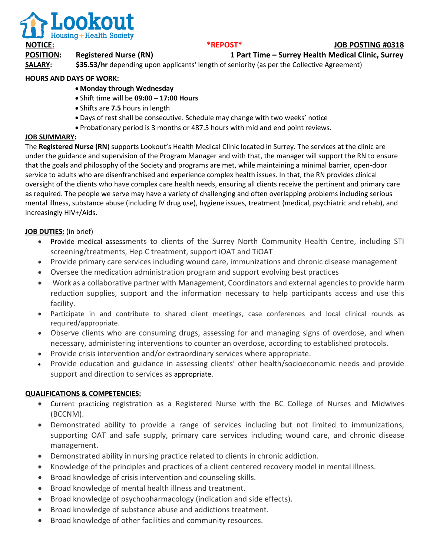

# **NOTICE: \*REPOST\* JOB POSTING #0318**

**POSITION: Registered Nurse (RN) 1 Part Time – Surrey Health Medical Clinic, Surrey**

**SALARY:** \$35.53/hr depending upon applicants' length of seniority (as per the Collective Agreement)

# **HOURS AND DAYS OF WORK:**

- **Monday through Wednesday**
- Shift time will be **09:00 – 17:00 Hours**
- Shifts are **7.5** hours in length
- Days of rest shall be consecutive. Schedule may change with two weeks' notice
- Probationary period is 3 months or 487.5 hours with mid and end point reviews.

# **JOB SUMMARY:**

The **Registered Nurse (RN**) supports Lookout's Health Medical Clinic located in Surrey. The services at the clinic are under the guidance and supervision of the Program Manager and with that, the manager will support the RN to ensure that the goals and philosophy of the Society and programs are met, while maintaining a minimal barrier, open-door service to adults who are disenfranchised and experience complex health issues. In that, the RN provides clinical oversight of the clients who have complex care health needs, ensuring all clients receive the pertinent and primary care as required. The people we serve may have a variety of challenging and often overlapping problems including serious mental illness, substance abuse (including IV drug use), hygiene issues, treatment (medical, psychiatric and rehab), and increasingly HIV+/Aids.

# **JOB DUTIES:** (in brief)

- Provide medical assessments to clients of the Surrey North Community Health Centre, including STI screening/treatments, Hep C treatment, support iOAT and TiOAT
- Provide primary care services including wound care, immunizations and chronic disease management
- Oversee the medication administration program and support evolving best practices
- Work as a collaborative partner with Management, Coordinators and external agencies to provide harm reduction supplies, support and the information necessary to help participants access and use this facility.
- Participate in and contribute to shared client meetings, case conferences and local clinical rounds as required/appropriate.
- Observe clients who are consuming drugs, assessing for and managing signs of overdose, and when necessary, administering interventions to counter an overdose, according to established protocols.
- Provide crisis intervention and/or extraordinary services where appropriate.
- Provide education and guidance in assessing clients' other health/socioeconomic needs and provide support and direction to services as appropriate.

# **QUALIFICATIONS & COMPETENCIES:**

- Current practicing registration as a Registered Nurse with the BC College of Nurses and Midwives (BCCNM).
- Demonstrated ability to provide a range of services including but not limited to immunizations, supporting OAT and safe supply, primary care services including wound care, and chronic disease management.
- Demonstrated ability in nursing practice related to clients in chronic addiction.
- Knowledge of the principles and practices of a client centered recovery model in mental illness.
- Broad knowledge of crisis intervention and counseling skills.
- Broad knowledge of mental health illness and treatment.
- Broad knowledge of psychopharmacology (indication and side effects).
- Broad knowledge of substance abuse and addictions treatment.
- Broad knowledge of other facilities and community resources.